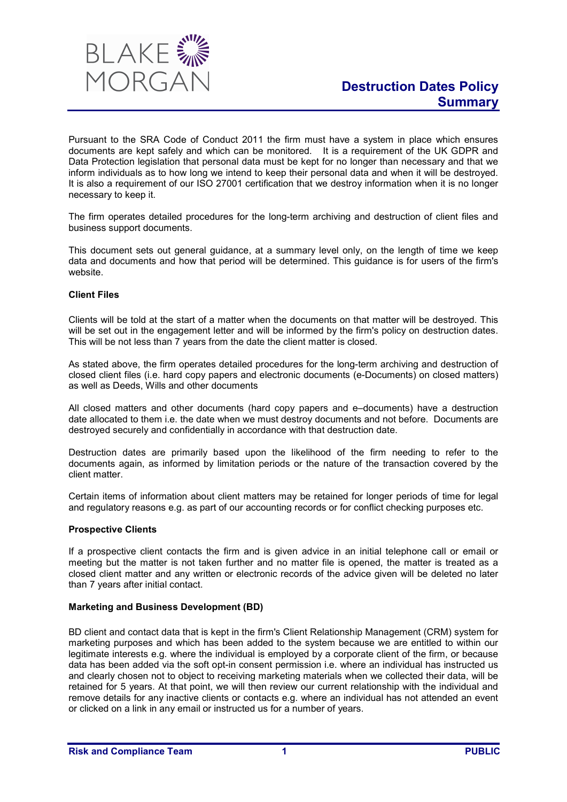

Pursuant to the SRA Code of Conduct 2011 the firm must have a system in place which ensures documents are kept safely and which can be monitored. It is a requirement of the UK GDPR and Data Protection legislation that personal data must be kept for no longer than necessary and that we inform individuals as to how long we intend to keep their personal data and when it will be destroyed. It is also a requirement of our ISO 27001 certification that we destroy information when it is no longer necessary to keep it.

The firm operates detailed procedures for the long-term archiving and destruction of client files and business support documents.

This document sets out general guidance, at a summary level only, on the length of time we keep data and documents and how that period will be determined. This guidance is for users of the firm's website.

## Client Files

Clients will be told at the start of a matter when the documents on that matter will be destroyed. This will be set out in the engagement letter and will be informed by the firm's policy on destruction dates. This will be not less than 7 years from the date the client matter is closed.

As stated above, the firm operates detailed procedures for the long-term archiving and destruction of closed client files (i.e. hard copy papers and electronic documents (e-Documents) on closed matters) as well as Deeds, Wills and other documents

All closed matters and other documents (hard copy papers and e–documents) have a destruction date allocated to them i.e. the date when we must destroy documents and not before. Documents are destroyed securely and confidentially in accordance with that destruction date.

Destruction dates are primarily based upon the likelihood of the firm needing to refer to the documents again, as informed by limitation periods or the nature of the transaction covered by the client matter.

Certain items of information about client matters may be retained for longer periods of time for legal and regulatory reasons e.g. as part of our accounting records or for conflict checking purposes etc.

#### Prospective Clients

If a prospective client contacts the firm and is given advice in an initial telephone call or email or meeting but the matter is not taken further and no matter file is opened, the matter is treated as a closed client matter and any written or electronic records of the advice given will be deleted no later than 7 years after initial contact.

## Marketing and Business Development (BD)

BD client and contact data that is kept in the firm's Client Relationship Management (CRM) system for marketing purposes and which has been added to the system because we are entitled to within our legitimate interests e.g. where the individual is employed by a corporate client of the firm, or because data has been added via the soft opt-in consent permission i.e. where an individual has instructed us and clearly chosen not to object to receiving marketing materials when we collected their data, will be retained for 5 years. At that point, we will then review our current relationship with the individual and remove details for any inactive clients or contacts e.g. where an individual has not attended an event or clicked on a link in any email or instructed us for a number of years.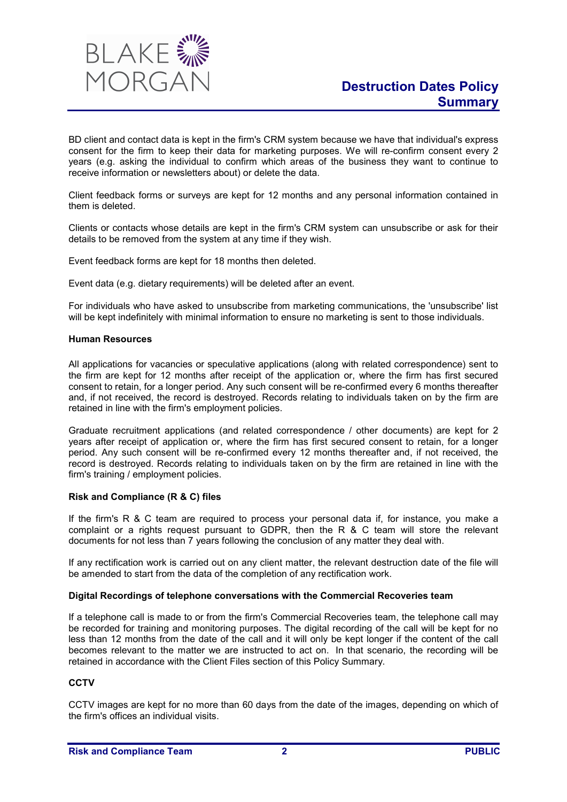

BD client and contact data is kept in the firm's CRM system because we have that individual's express consent for the firm to keep their data for marketing purposes. We will re-confirm consent every 2 years (e.g. asking the individual to confirm which areas of the business they want to continue to receive information or newsletters about) or delete the data.

Client feedback forms or surveys are kept for 12 months and any personal information contained in them is deleted.

Clients or contacts whose details are kept in the firm's CRM system can unsubscribe or ask for their details to be removed from the system at any time if they wish.

Event feedback forms are kept for 18 months then deleted.

Event data (e.g. dietary requirements) will be deleted after an event.

For individuals who have asked to unsubscribe from marketing communications, the 'unsubscribe' list will be kept indefinitely with minimal information to ensure no marketing is sent to those individuals.

#### Human Resources

All applications for vacancies or speculative applications (along with related correspondence) sent to the firm are kept for 12 months after receipt of the application or, where the firm has first secured consent to retain, for a longer period. Any such consent will be re-confirmed every 6 months thereafter and, if not received, the record is destroyed. Records relating to individuals taken on by the firm are retained in line with the firm's employment policies.

Graduate recruitment applications (and related correspondence / other documents) are kept for 2 years after receipt of application or, where the firm has first secured consent to retain, for a longer period. Any such consent will be re-confirmed every 12 months thereafter and, if not received, the record is destroyed. Records relating to individuals taken on by the firm are retained in line with the firm's training / employment policies.

## Risk and Compliance (R & C) files

If the firm's R & C team are required to process your personal data if, for instance, you make a complaint or a rights request pursuant to GDPR, then the R & C team will store the relevant documents for not less than 7 years following the conclusion of any matter they deal with.

If any rectification work is carried out on any client matter, the relevant destruction date of the file will be amended to start from the data of the completion of any rectification work.

#### Digital Recordings of telephone conversations with the Commercial Recoveries team

If a telephone call is made to or from the firm's Commercial Recoveries team, the telephone call may be recorded for training and monitoring purposes. The digital recording of the call will be kept for no less than 12 months from the date of the call and it will only be kept longer if the content of the call becomes relevant to the matter we are instructed to act on. In that scenario, the recording will be retained in accordance with the Client Files section of this Policy Summary.

# **CCTV**

CCTV images are kept for no more than 60 days from the date of the images, depending on which of the firm's offices an individual visits.